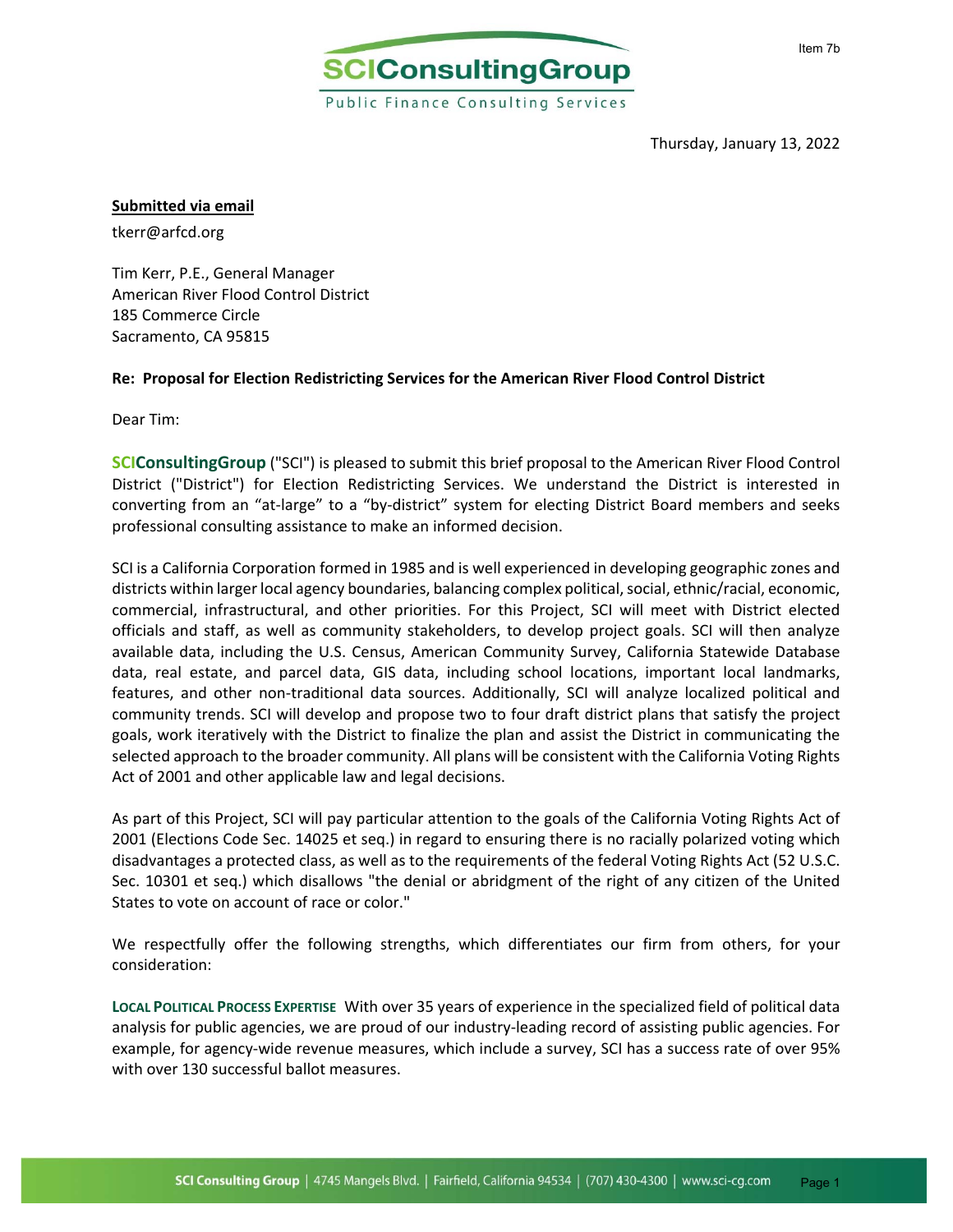

Thursday, January 13, 2022

#### **Submitted via email**

tkerr@arfcd.org

Tim Kerr, P.E., General Manager American River Flood Control District 185 Commerce Circle Sacramento, CA 95815

#### **Re: Proposal for Election Redistricting Services for the American River Flood Control District**

Dear Tim:

**SCIConsultingGroup** ("SCI") is pleased to submit this brief proposal to the American River Flood Control District ("District") for Election Redistricting Services. We understand the District is interested in converting from an "at-large" to a "by-district" system for electing District Board members and seeks professional consulting assistance to make an informed decision.

SCI is a California Corporation formed in 1985 and is well experienced in developing geographic zones and districts within larger local agency boundaries, balancing complex political, social, ethnic/racial, economic, commercial, infrastructural, and other priorities. For this Project, SCI will meet with District elected officials and staff, as well as community stakeholders, to develop project goals. SCI will then analyze available data, including the U.S. Census, American Community Survey, California Statewide Database data, real estate, and parcel data, GIS data, including school locations, important local landmarks, features, and other non-traditional data sources. Additionally, SCI will analyze localized political and community trends. SCI will develop and propose two to four draft district plans that satisfy the project goals, work iteratively with the District to finalize the plan and assist the District in communicating the selected approach to the broader community. All plans will be consistent with the California Voting Rights Act of 2001 and other applicable law and legal decisions.

As part of this Project, SCI will pay particular attention to the goals of the California Voting Rights Act of 2001 (Elections Code Sec. 14025 et seq.) in regard to ensuring there is no racially polarized voting which disadvantages a protected class, as well as to the requirements of the federal Voting Rights Act (52 U.S.C. Sec. 10301 et seq.) which disallows "the denial or abridgment of the right of any citizen of the United States to vote on account of race or color."

We respectfully offer the following strengths, which differentiates our firm from others, for your consideration:

**LOCAL POLITICAL PROCESS EXPERTISE** With over 35 years of experience in the specialized field of political data analysis for public agencies, we are proud of our industry‐leading record of assisting public agencies. For example, for agency‐wide revenue measures, which include a survey, SCI has a success rate of over 95% with over 130 successful ballot measures.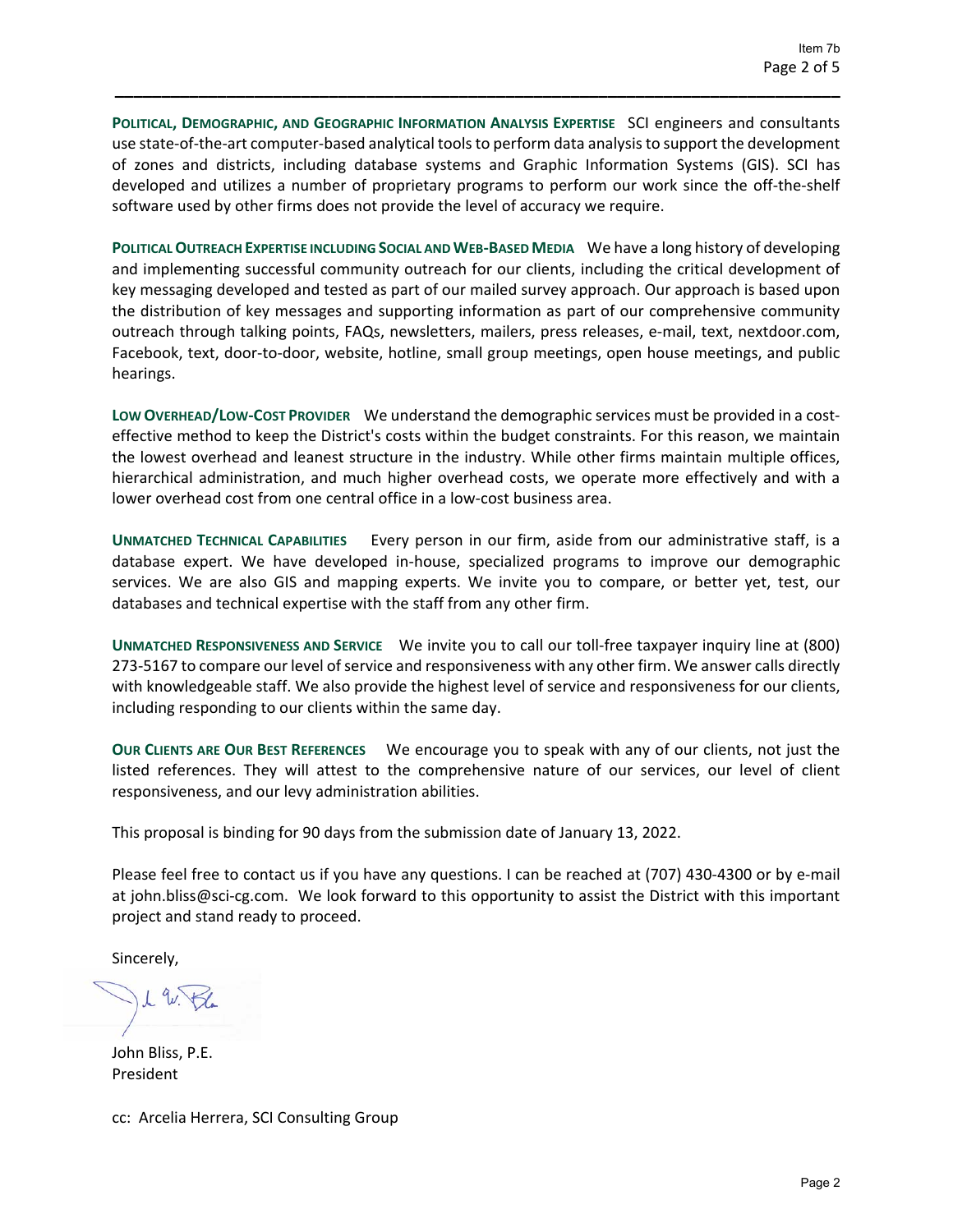**POLITICAL, DEMOGRAPHIC, AND GEOGRAPHIC INFORMATION ANALYSIS EXPERTISE** SCI engineers and consultants use state-of-the-art computer-based analytical tools to perform data analysis to support the development of zones and districts, including database systems and Graphic Information Systems (GIS). SCI has developed and utilizes a number of proprietary programs to perform our work since the off-the-shelf software used by other firms does not provide the level of accuracy we require.

**\_\_\_\_\_\_\_\_\_\_\_\_\_\_\_\_\_\_\_\_\_\_\_\_\_\_\_\_\_\_\_\_\_\_\_\_\_\_\_\_\_\_\_\_\_\_\_\_\_\_\_\_\_\_\_\_\_\_\_\_\_\_\_\_\_\_\_\_\_\_\_\_\_\_\_\_\_\_**

**POLITICAL OUTREACH EXPERTISE INCLUDING SOCIAL AND WEB‐BASED MEDIA** We have a long history of developing and implementing successful community outreach for our clients, including the critical development of key messaging developed and tested as part of our mailed survey approach. Our approach is based upon the distribution of key messages and supporting information as part of our comprehensive community outreach through talking points, FAQs, newsletters, mailers, press releases, e‐mail, text, nextdoor.com, Facebook, text, door‐to‐door, website, hotline, small group meetings, open house meetings, and public hearings.

**LOW OVERHEAD/LOW‐COST PROVIDER** We understand the demographic services must be provided in a cost‐ effective method to keep the District's costs within the budget constraints. For this reason, we maintain the lowest overhead and leanest structure in the industry. While other firms maintain multiple offices, hierarchical administration, and much higher overhead costs, we operate more effectively and with a lower overhead cost from one central office in a low‐cost business area.

**UNMATCHED TECHNICAL CAPABILITIES** Every person in our firm, aside from our administrative staff, is a database expert. We have developed in‐house, specialized programs to improve our demographic services. We are also GIS and mapping experts. We invite you to compare, or better yet, test, our databases and technical expertise with the staff from any other firm.

**UNMATCHED RESPONSIVENESS AND SERVICE** We invite you to call our toll‐free taxpayer inquiry line at (800) 273‐5167 to compare our level of service and responsiveness with any other firm. We answer calls directly with knowledgeable staff. We also provide the highest level of service and responsiveness for our clients, including responding to our clients within the same day.

**OUR CLIENTS ARE OUR BEST REFERENCES** We encourage you to speak with any of our clients, not just the listed references. They will attest to the comprehensive nature of our services, our level of client responsiveness, and our levy administration abilities.

This proposal is binding for 90 days from the submission date of January 13, 2022.

Please feel free to contact us if you have any questions. I can be reached at (707) 430‐4300 or by e‐mail at john.bliss@sci‐cg.com. We look forward to this opportunity to assist the District with this important project and stand ready to proceed.

Sincerely,

John Bliss, P.E. President

cc: Arcelia Herrera, SCI Consulting Group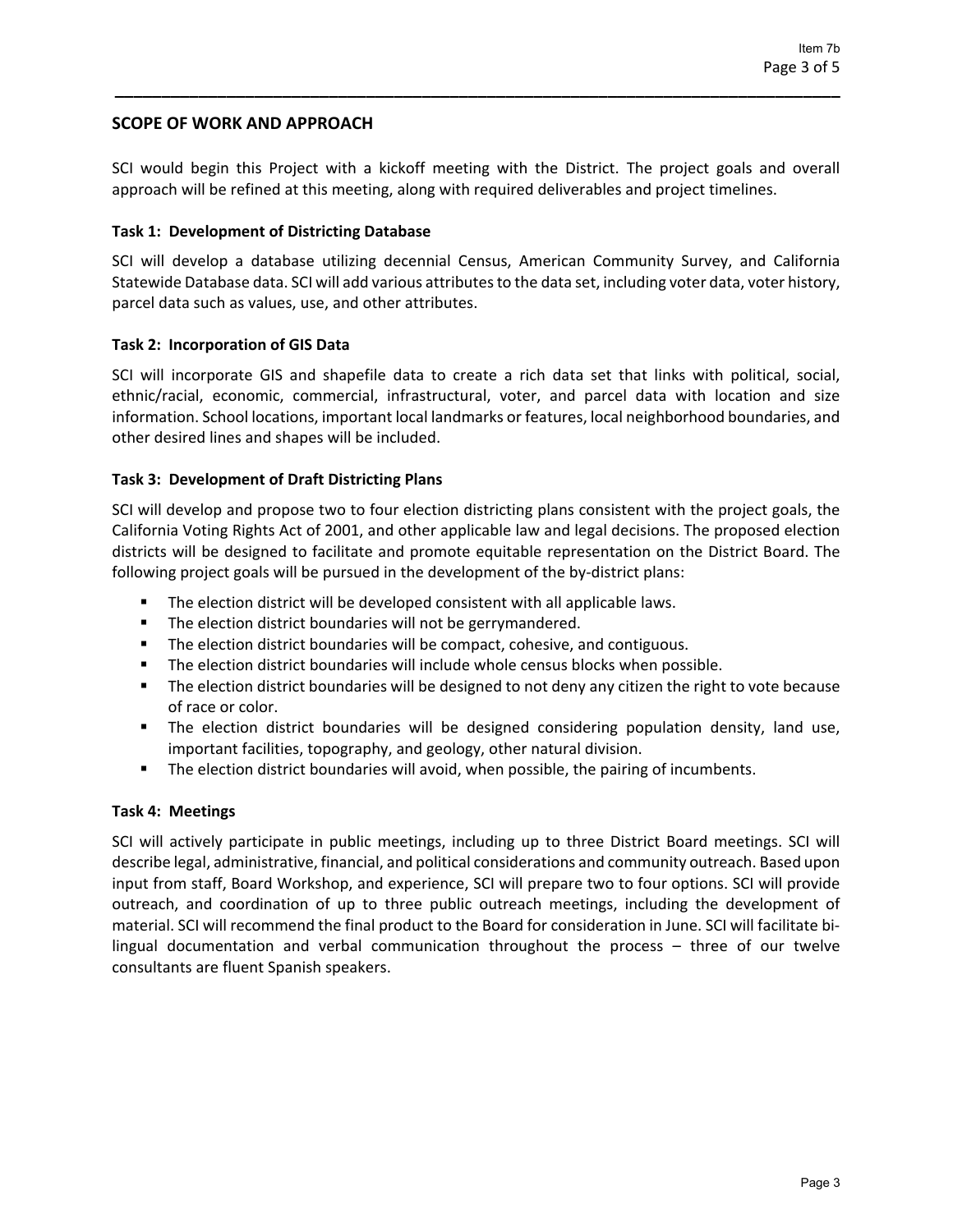# **SCOPE OF WORK AND APPROACH**

SCI would begin this Project with a kickoff meeting with the District. The project goals and overall approach will be refined at this meeting, along with required deliverables and project timelines.

**\_\_\_\_\_\_\_\_\_\_\_\_\_\_\_\_\_\_\_\_\_\_\_\_\_\_\_\_\_\_\_\_\_\_\_\_\_\_\_\_\_\_\_\_\_\_\_\_\_\_\_\_\_\_\_\_\_\_\_\_\_\_\_\_\_\_\_\_\_\_\_\_\_\_\_\_\_\_**

#### **Task 1: Development of Districting Database**

SCI will develop a database utilizing decennial Census, American Community Survey, and California Statewide Database data. SCI will add various attributes to the data set, including voter data, voter history, parcel data such as values, use, and other attributes.

#### **Task 2: Incorporation of GIS Data**

SCI will incorporate GIS and shapefile data to create a rich data set that links with political, social, ethnic/racial, economic, commercial, infrastructural, voter, and parcel data with location and size information. School locations, important local landmarks or features, local neighborhood boundaries, and other desired lines and shapes will be included.

## **Task 3: Development of Draft Districting Plans**

SCI will develop and propose two to four election districting plans consistent with the project goals, the California Voting Rights Act of 2001, and other applicable law and legal decisions. The proposed election districts will be designed to facilitate and promote equitable representation on the District Board. The following project goals will be pursued in the development of the by-district plans:

- The election district will be developed consistent with all applicable laws.
- **The election district boundaries will not be gerrymandered.**
- **The election district boundaries will be compact, cohesive, and contiguous.**
- **The election district boundaries will include whole census blocks when possible.**
- **The election district boundaries will be designed to not deny any citizen the right to vote because** of race or color.
- The election district boundaries will be designed considering population density, land use, important facilities, topography, and geology, other natural division.
- **The election district boundaries will avoid, when possible, the pairing of incumbents.**

#### **Task 4: Meetings**

SCI will actively participate in public meetings, including up to three District Board meetings. SCI will describe legal, administrative, financial, and political considerations and community outreach. Based upon input from staff, Board Workshop, and experience, SCI will prepare two to four options. SCI will provide outreach, and coordination of up to three public outreach meetings, including the development of material. SCI will recommend the final product to the Board for consideration in June. SCI will facilitate bi‐ lingual documentation and verbal communication throughout the process – three of our twelve consultants are fluent Spanish speakers.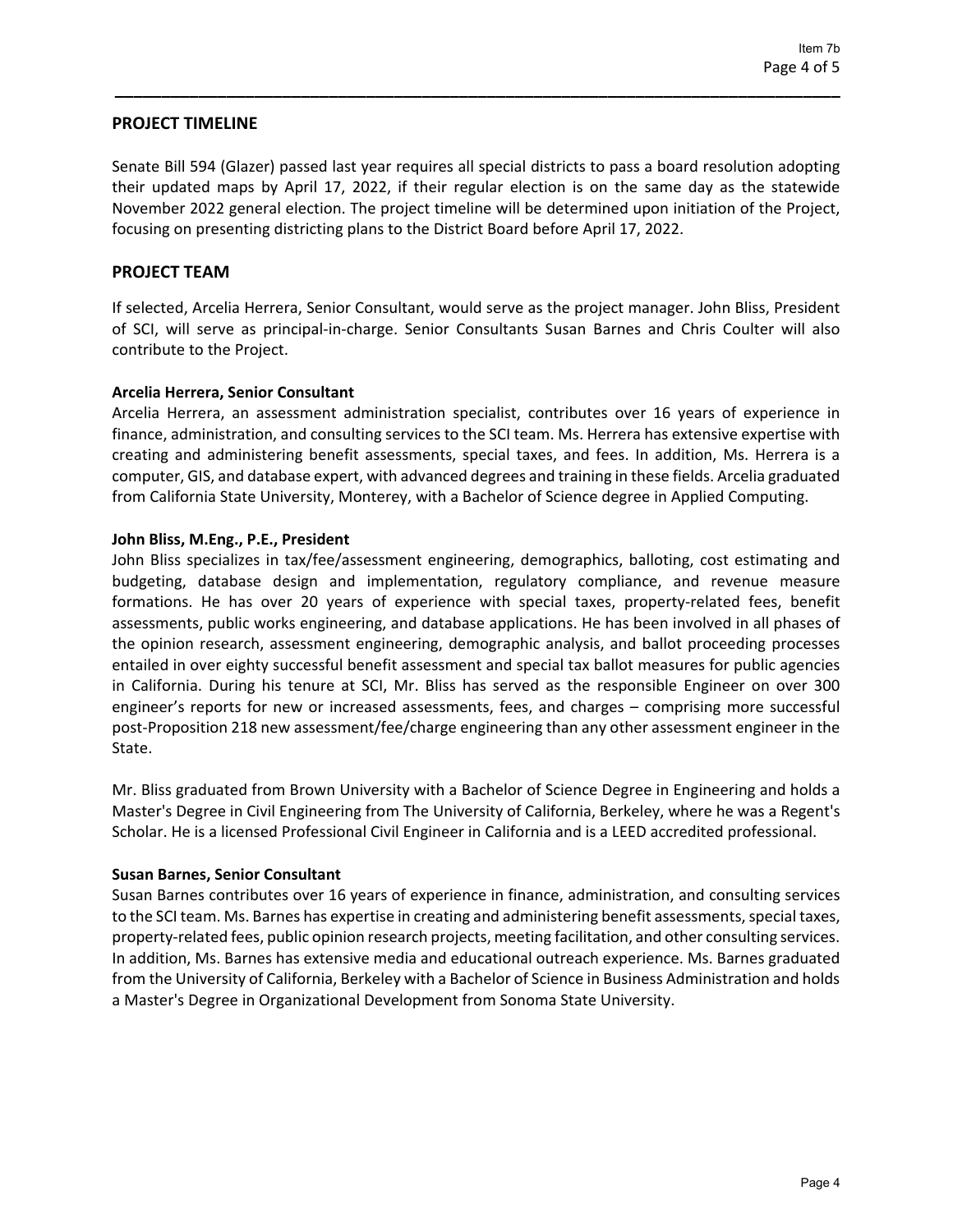## **PROJECT TIMELINE**

Senate Bill 594 (Glazer) passed last year requires all special districts to pass a board resolution adopting their updated maps by April 17, 2022, if their regular election is on the same day as the statewide November 2022 general election. The project timeline will be determined upon initiation of the Project, focusing on presenting districting plans to the District Board before April 17, 2022.

**\_\_\_\_\_\_\_\_\_\_\_\_\_\_\_\_\_\_\_\_\_\_\_\_\_\_\_\_\_\_\_\_\_\_\_\_\_\_\_\_\_\_\_\_\_\_\_\_\_\_\_\_\_\_\_\_\_\_\_\_\_\_\_\_\_\_\_\_\_\_\_\_\_\_\_\_\_\_**

## **PROJECT TEAM**

If selected, Arcelia Herrera, Senior Consultant, would serve as the project manager. John Bliss, President of SCI, will serve as principal‐in‐charge. Senior Consultants Susan Barnes and Chris Coulter will also contribute to the Project.

## **Arcelia Herrera, Senior Consultant**

Arcelia Herrera, an assessment administration specialist, contributes over 16 years of experience in finance, administration, and consulting services to the SCI team. Ms. Herrera has extensive expertise with creating and administering benefit assessments, special taxes, and fees. In addition, Ms. Herrera is a computer, GIS, and database expert, with advanced degrees and training in these fields. Arcelia graduated from California State University, Monterey, with a Bachelor of Science degree in Applied Computing.

## **John Bliss, M.Eng., P.E., President**

John Bliss specializes in tax/fee/assessment engineering, demographics, balloting, cost estimating and budgeting, database design and implementation, regulatory compliance, and revenue measure formations. He has over 20 years of experience with special taxes, property-related fees, benefit assessments, public works engineering, and database applications. He has been involved in all phases of the opinion research, assessment engineering, demographic analysis, and ballot proceeding processes entailed in over eighty successful benefit assessment and special tax ballot measures for public agencies in California. During his tenure at SCI, Mr. Bliss has served as the responsible Engineer on over 300 engineer's reports for new or increased assessments, fees, and charges – comprising more successful post‐Proposition 218 new assessment/fee/charge engineering than any other assessment engineer in the State.

Mr. Bliss graduated from Brown University with a Bachelor of Science Degree in Engineering and holds a Master's Degree in Civil Engineering from The University of California, Berkeley, where he was a Regent's Scholar. He is a licensed Professional Civil Engineer in California and is a LEED accredited professional.

#### **Susan Barnes, Senior Consultant**

Susan Barnes contributes over 16 years of experience in finance, administration, and consulting services to the SCI team. Ms. Barnes has expertise in creating and administering benefit assessments, special taxes, property‐related fees, public opinion research projects, meeting facilitation, and other consulting services. In addition, Ms. Barnes has extensive media and educational outreach experience. Ms. Barnes graduated from the University of California, Berkeley with a Bachelor of Science in Business Administration and holds a Master's Degree in Organizational Development from Sonoma State University.